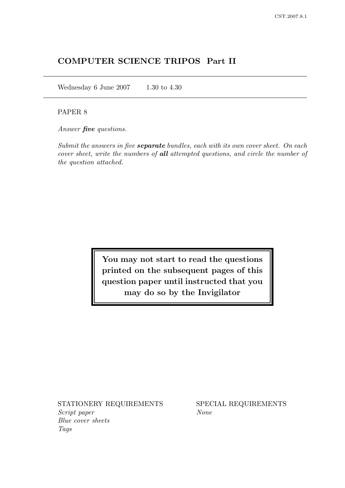# COMPUTER SCIENCE TRIPOS Part II

Wednesday 6 June 2007 1.30 to 4.30

### PAPER 8

Answer **five** questions.

Submit the answers in five **separate** bundles, each with its own cover sheet. On each cover sheet, write the numbers of all attempted questions, and circle the number of the question attached.

> You may not start to read the questions printed on the subsequent pages of this question paper until instructed that you may do so by the Invigilator

STATIONERY REQUIREMENTS SPECIAL REQUIREMENTS Script paper None Blue cover sheets Tags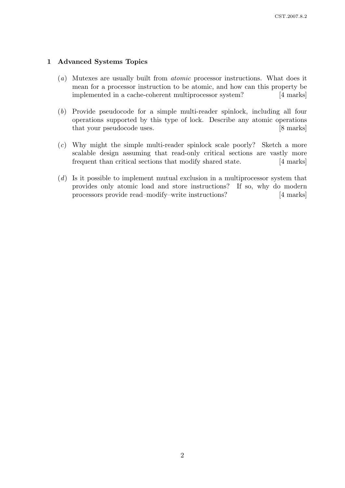### 1 Advanced Systems Topics

- (a) Mutexes are usually built from atomic processor instructions. What does it mean for a processor instruction to be atomic, and how can this property be implemented in a cache-coherent multiprocessor system? [4 marks]
- (b) Provide pseudocode for a simple multi-reader spinlock, including all four operations supported by this type of lock. Describe any atomic operations that your pseudocode uses. [8 marks]
- (c) Why might the simple multi-reader spinlock scale poorly? Sketch a more scalable design assuming that read-only critical sections are vastly more frequent than critical sections that modify shared state. [4 marks]
- $(d)$  Is it possible to implement mutual exclusion in a multiprocessor system that provides only atomic load and store instructions? If so, why do modern processors provide read–modify–write instructions? [4 marks]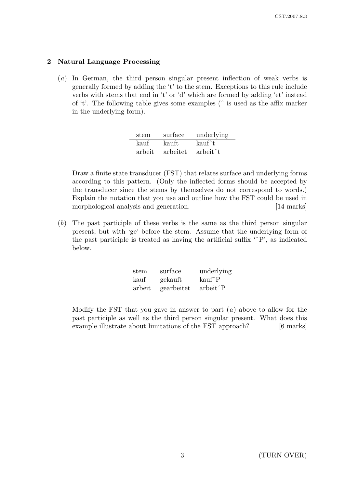### 2 Natural Language Processing

(a) In German, the third person singular present inflection of weak verbs is generally formed by adding the 't' to the stem. Exceptions to this rule include verbs with stems that end in 't' or 'd' which are formed by adding 'et' instead of 't'. The following table gives some examples (ˆ is used as the affix marker in the underlying form).

| stem   | surface  | underlying            |
|--------|----------|-----------------------|
| kauf   | kauft    | kauf^t                |
| arbeit | arbeitet | arbeit <sup>2</sup> t |

Draw a finite state transducer (FST) that relates surface and underlying forms according to this pattern. (Only the inflected forms should be accepted by the transducer since the stems by themselves do not correspond to words.) Explain the notation that you use and outline how the FST could be used in morphological analysis and generation. [14 marks]

(b) The past participle of these verbs is the same as the third person singular present, but with 'ge' before the stem. Assume that the underlying form of the past participle is treated as having the artificial suffix 'ˆP', as indicated below.

| stem   | surface    | underlying              |
|--------|------------|-------------------------|
| kauf   | gekauft    | $k\text{auf}^{\wedge}P$ |
| arbeit | gearbeitet | $arbeit$ $P$            |

Modify the FST that you gave in answer to part  $(a)$  above to allow for the past participle as well as the third person singular present. What does this example illustrate about limitations of the FST approach? [6 marks]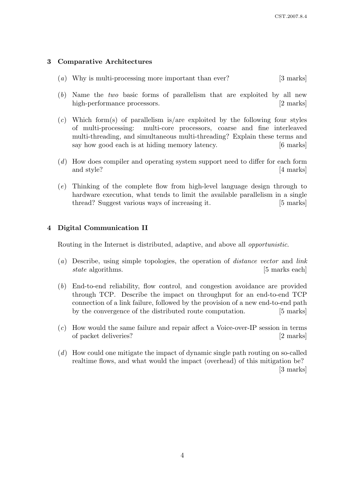### 3 Comparative Architectures

- (a) Why is multi-processing more important than ever? [3 marks]
- (b) Name the two basic forms of parallelism that are exploited by all new high-performance processors. [2 marks]
- (c) Which form(s) of parallelism is/are exploited by the following four styles of multi-processing: multi-core processors, coarse and fine interleaved multi-threading, and simultaneous multi-threading? Explain these terms and say how good each is at hiding memory latency. [6 marks]
- (d) How does compiler and operating system support need to differ for each form and style? [4 marks]
- (e) Thinking of the complete flow from high-level language design through to hardware execution, what tends to limit the available parallelism in a single thread? Suggest various ways of increasing it. [5 marks]

### 4 Digital Communication II

Routing in the Internet is distributed, adaptive, and above all opportunistic.

- (a) Describe, using simple topologies, the operation of distance vector and link state algorithms. [5 marks each]
- (b) End-to-end reliability, flow control, and congestion avoidance are provided through TCP. Describe the impact on throughput for an end-to-end TCP connection of a link failure, followed by the provision of a new end-to-end path by the convergence of the distributed route computation. [5 marks]
- (c) How would the same failure and repair affect a Voice-over-IP session in terms of packet deliveries? [2 marks]
- (d) How could one mitigate the impact of dynamic single path routing on so-called realtime flows, and what would the impact (overhead) of this mitigation be? [3 marks]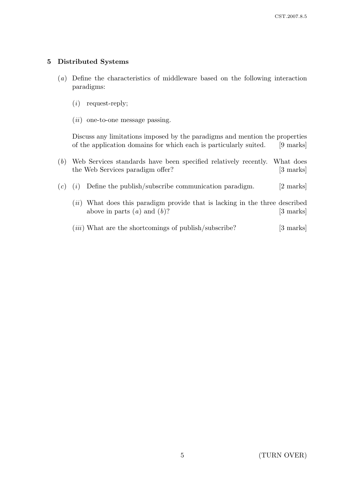### 5 Distributed Systems

- (a) Define the characteristics of middleware based on the following interaction paradigms:
	- (i) request-reply;
	- $(ii)$  one-to-one message passing.

Discuss any limitations imposed by the paradigms and mention the properties of the application domains for which each is particularly suited. [9 marks]

- (b) Web Services standards have been specified relatively recently. What does the Web Services paradigm offer? [3 marks]
- $(c)$  (i) Define the publish/subscribe communication paradigm. [2 marks]
	- (*ii*) What does this paradigm provide that is lacking in the three described above in parts  $(a)$  and  $(b)$ ? [3 marks]
	- $(iii)$  What are the shortcomings of publish/subscribe? [3 marks]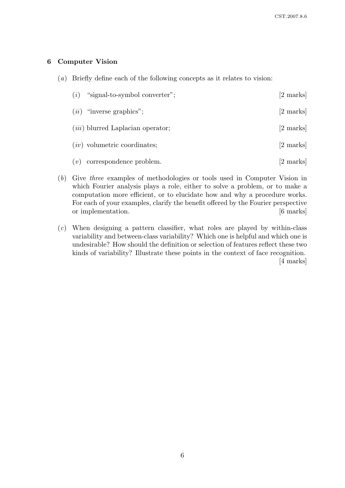### 6 Computer Vision

(a) Briefly define each of the following concepts as it relates to vision:

| (i)  | "signal-to-symbol converter";            | [2 marks] |
|------|------------------------------------------|-----------|
| (ii) | "inverse graphics";                      | [2 marks] |
|      | <i>(iii)</i> blurred Laplacian operator; | [2 marks] |
|      | $(iv)$ volumetric coordinates;           | [2 marks] |
| (v)  | correspondence problem.                  | [2 marks] |

- (b) Give three examples of methodologies or tools used in Computer Vision in which Fourier analysis plays a role, either to solve a problem, or to make a computation more efficient, or to elucidate how and why a procedure works. For each of your examples, clarify the benefit offered by the Fourier perspective or implementation.  $[6 \text{ marks}]$
- (c) When designing a pattern classifier, what roles are played by within-class variability and between-class variability? Which one is helpful and which one is undesirable? How should the definition or selection of features reflect these two kinds of variability? Illustrate these points in the context of face recognition. [4 marks]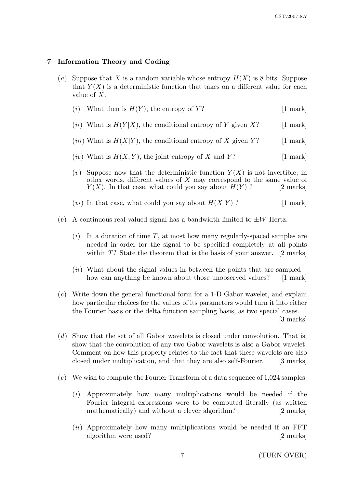### 7 Information Theory and Coding

(a) Suppose that X is a random variable whose entropy  $H(X)$  is 8 bits. Suppose that  $Y(X)$  is a deterministic function that takes on a different value for each value of X.

| ( <i>i</i> ) What then is $H(Y)$ , the entropy of Y? | $[1$ mark |
|------------------------------------------------------|-----------|
|------------------------------------------------------|-----------|

- (*ii*) What is  $H(Y|X)$ , the conditional entropy of Y given X? [1 mark]
- (*iii*) What is  $H(X|Y)$ , the conditional entropy of X given Y? [1 mark]
- (*iv*) What is  $H(X, Y)$ , the joint entropy of X and Y? [1 mark]
- (v) Suppose now that the deterministic function  $Y(X)$  is not invertible; in other words, different values of X may correspond to the same value of  $Y(X)$ . In that case, what could you say about  $H(Y)$  ? [2 marks]
- (*vi*) In that case, what could you say about  $H(X|Y)$  ? [1 mark]
- (b) A continuous real-valued signal has a bandwidth limited to  $\pm W$  Hertz.
	- $(i)$  In a duration of time T, at most how many regularly-spaced samples are needed in order for the signal to be specified completely at all points within  $T$ ? State the theorem that is the basis of your answer. [2 marks]
	- $(ii)$  What about the signal values in between the points that are sampled how can anything be known about those unobserved values? [1 mark]
- (c) Write down the general functional form for a 1-D Gabor wavelet, and explain how particular choices for the values of its parameters would turn it into either the Fourier basis or the delta function sampling basis, as two special cases.

[3 marks]

- (d) Show that the set of all Gabor wavelets is closed under convolution. That is, show that the convolution of any two Gabor wavelets is also a Gabor wavelet. Comment on how this property relates to the fact that these wavelets are also closed under multiplication, and that they are also self-Fourier. [3 marks]
- (e) We wish to compute the Fourier Transform of a data sequence of 1,024 samples:
	- (i) Approximately how many multiplications would be needed if the Fourier integral expressions were to be computed literally (as written mathematically) and without a clever algorithm? [2 marks]
	- $(ii)$  Approximately how many multiplications would be needed if an FFT algorithm were used? [2 marks]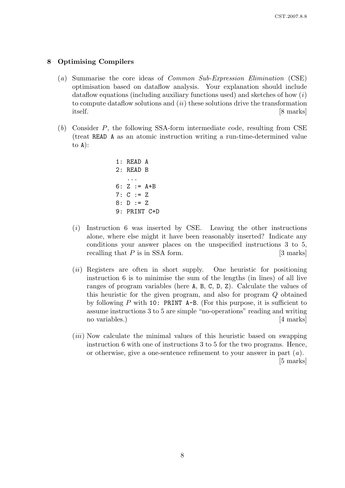### 8 Optimising Compilers

- (a) Summarise the core ideas of Common Sub-Expression Elimination (CSE) optimisation based on dataflow analysis. Your explanation should include dataflow equations (including auxiliary functions used) and sketches of how  $(i)$ to compute dataflow solutions and  $(ii)$  these solutions drive the transformation itself. [8 marks]
- (b) Consider P, the following SSA-form intermediate code, resulting from CSE (treat READ A as an atomic instruction writing a run-time-determined value to  $A$ :

```
1: READ A
2: READ B
   ...
6: Z := A + B7: C := Z8: D := Z
9: PRINT C+D
```
- (i) Instruction 6 was inserted by CSE. Leaving the other instructions alone, where else might it have been reasonably inserted? Indicate any conditions your answer places on the unspecified instructions 3 to 5, recalling that  $P$  is in SSA form. [3 marks]
- (ii) Registers are often in short supply. One heuristic for positioning instruction 6 is to minimise the sum of the lengths (in lines) of all live ranges of program variables (here A, B, C, D, Z). Calculate the values of this heuristic for the given program, and also for program Q obtained by following  $P$  with 10: PRINT A-B. (For this purpose, it is sufficient to assume instructions 3 to 5 are simple "no-operations" reading and writing no variables.) [4 marks]
- (iii) Now calculate the minimal values of this heuristic based on swapping instruction 6 with one of instructions 3 to 5 for the two programs. Hence, or otherwise, give a one-sentence refinement to your answer in part  $(a)$ . [5 marks]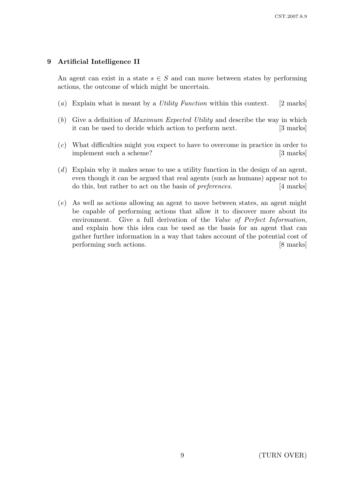### 9 Artificial Intelligence II

An agent can exist in a state  $s \in S$  and can move between states by performing actions, the outcome of which might be uncertain.

- (a) Explain what is meant by a *Utility Function* within this context. [2 marks]
- (b) Give a definition of Maximum Expected Utility and describe the way in which it can be used to decide which action to perform next. [3 marks]
- (c) What difficulties might you expect to have to overcome in practice in order to implement such a scheme? [3 marks]
- $(d)$  Explain why it makes sense to use a utility function in the design of an agent, even though it can be argued that real agents (such as humans) appear not to do this, but rather to act on the basis of *preferences*. [4 marks]
- (e) As well as actions allowing an agent to move between states, an agent might be capable of performing actions that allow it to discover more about its environment. Give a full derivation of the Value of Perfect Information, and explain how this idea can be used as the basis for an agent that can gather further information in a way that takes account of the potential cost of performing such actions. [8 marks]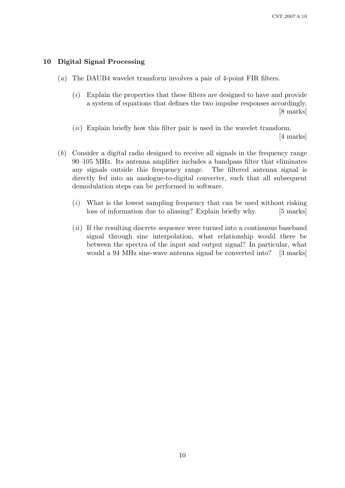#### 10 Digital Signal Processing

- (a) The DAUB4 wavelet transform involves a pair of 4-point FIR filters.
	- (i) Explain the properties that these filters are designed to have and provide a system of equations that defines the two impulse responses accordingly. [8 marks]
	- (*ii*) Explain briefly how this filter pair is used in the wavelet transform.

[4 marks]

- (b) Consider a digital radio designed to receive all signals in the frequency range 90–105 MHz. Its antenna amplifier includes a bandpass filter that eliminates any signals outside this frequency range. The filtered antenna signal is directly fed into an analogue-to-digital converter, such that all subsequent demodulation steps can be performed in software.
	- $(i)$  What is the lowest sampling frequency that can be used without risking loss of information due to aliasing? Explain briefly why. [5 marks]
	- (ii) If the resulting discrete sequence were turned into a continuous baseband signal through sinc interpolation, what relationship would there be between the spectra of the input and output signal? In particular, what would a 94 MHz sine-wave antenna signal be converted into? [3 marks]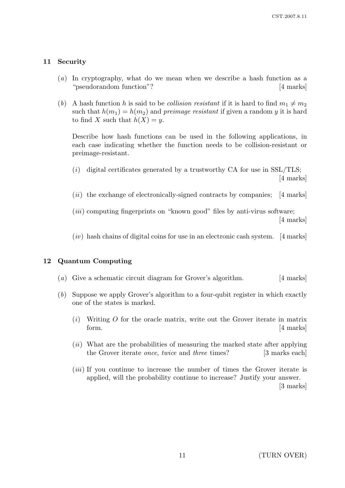### 11 Security

- (a) In cryptography, what do we mean when we describe a hash function as a "pseudorandom function"? [4 marks]
- (b) A hash function h is said to be collision resistant if it is hard to find  $m_1 \neq m_2$ such that  $h(m_1) = h(m_2)$  and preimage resistant if given a random y it is hard to find X such that  $h(X) = y$ .

Describe how hash functions can be used in the following applications, in each case indicating whether the function needs to be collision-resistant or preimage-resistant.

- $(i)$  digital certificates generated by a trustworthy CA for use in SSL/TLS; [4 marks]
- $(ii)$  the exchange of electronically-signed contracts by companies; [4 marks]
- $(iii)$  computing fingerprints on "known good" files by anti-virus software; [4 marks]
- $(iv)$  hash chains of digital coins for use in an electronic cash system. [4 marks]

#### 12 Quantum Computing

- (a) Give a schematic circuit diagram for Grover's algorithm. [4 marks]
- (b) Suppose we apply Grover's algorithm to a four-qubit register in which exactly one of the states is marked.
	- $(i)$  Writing O for the oracle matrix, write out the Grover iterate in matrix form. [4 marks]
	- (ii) What are the probabilities of measuring the marked state after applying the Grover iterate *once*, *twice* and *three* times? [3 marks each]
	- (*iii*) If you continue to increase the number of times the Grover iterate is applied, will the probability continue to increase? Justify your answer. [3 marks]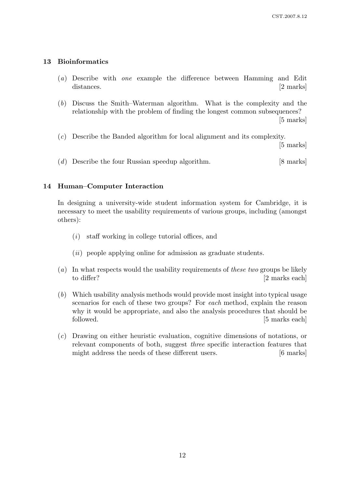## 13 Bioinformatics

- (a) Describe with one example the difference between Hamming and Edit distances. [2 marks]
- (b) Discuss the Smith–Waterman algorithm. What is the complexity and the relationship with the problem of finding the longest common subsequences? [5 marks]
- (c) Describe the Banded algorithm for local alignment and its complexity.

[5 marks]

(d) Describe the four Russian speedup algorithm. [8 marks]

### 14 Human–Computer Interaction

In designing a university-wide student information system for Cambridge, it is necessary to meet the usability requirements of various groups, including (amongst others):

- (i) staff working in college tutorial offices, and
- $(ii)$  people applying online for admission as graduate students.
- (a) In what respects would the usability requirements of these two groups be likely to differ? [2 marks each]
- (b) Which usability analysis methods would provide most insight into typical usage scenarios for each of these two groups? For each method, explain the reason why it would be appropriate, and also the analysis procedures that should be followed. [5 marks each]
- (c) Drawing on either heuristic evaluation, cognitive dimensions of notations, or relevant components of both, suggest three specific interaction features that might address the needs of these different users. [6 marks]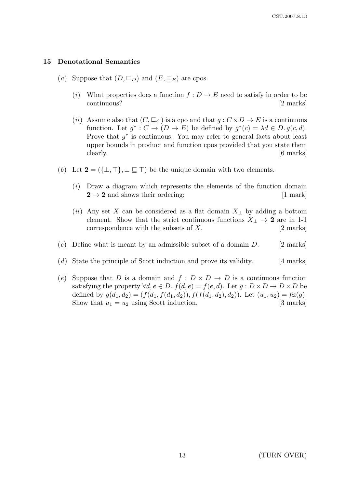#### 15 Denotational Semantics

- (a) Suppose that  $(D, \subseteq_D)$  and  $(E, \subseteq_E)$  are cpos.
	- (i) What properties does a function  $f: D \to E$  need to satisfy in order to be continuous? [2 marks]
	- (ii) Assume also that  $(C, \subseteq_C)$  is a cpo and that  $g: C \times D \to E$  is a continuous function. Let  $g^*: C \to (D \to E)$  be defined by  $g^*(c) = \lambda d \in D$ .  $g(c, d)$ . Prove that  $g^*$  is continuous. You may refer to general facts about least upper bounds in product and function cpos provided that you state them clearly.  $[6 \text{ marks}]$
- (b) Let  $2 = (\{\perp, \top\}, \perp \sqsubseteq \top)$  be the unique domain with two elements.
	- $(i)$  Draw a diagram which represents the elements of the function domain  $2 \rightarrow 2$  and shows their ordering; [1 mark]
	- (ii) Any set X can be considered as a flat domain  $X_{\perp}$  by adding a bottom element. Show that the strict continuous functions  $X_{\perp} \rightarrow 2$  are in 1-1 correspondence with the subsets of  $X$ . [2 marks]
- (c) Define what is meant by an admissible subset of a domain  $D$ . [2 marks]
- (d) State the principle of Scott induction and prove its validity. [4 marks]
- (e) Suppose that D is a domain and  $f: D \times D \to D$  is a continuous function satisfying the property  $\forall d, e \in D$ .  $f(d, e) = f(e, d)$ . Let  $g: D \times D \to D \times D$  be defined by  $g(d_1, d_2) = (f(d_1, f(d_1, d_2)), f(f(d_1, d_2), d_2))$ . Let  $(u_1, u_2) = f(x(g))$ . Show that  $u_1 = u_2$  using Scott induction. [3 marks]